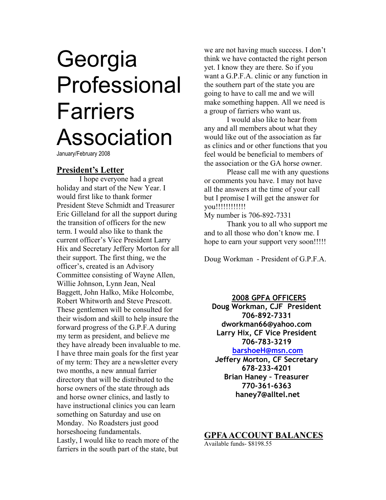# **Georgia** Professional Farriers Association

January/February 2008

### **President's Letter**

 I hope everyone had a great holiday and start of the New Year. I would first like to thank former President Steve Schmidt and Treasurer Eric Gilleland for all the support during the transition of officers for the new term. I would also like to thank the current officer's Vice President Larry Hix and Secretary Jeffery Morton for all their support. The first thing, we the officer's, created is an Advisory Committee consisting of Wayne Allen, Willie Johnson, Lynn Jean, Neal Baggett, John Halko, Mike Holcombe, Robert Whitworth and Steve Prescott. These gentlemen will be consulted for their wisdom and skill to help insure the forward progress of the G.P.F.A during my term as president, and believe me they have already been invaluable to me. I have three main goals for the first year of my term: They are a newsletter every two months, a new annual farrier directory that will be distributed to the horse owners of the state through ads and horse owner clinics, and lastly to have instructional clinics you can learn something on Saturday and use on Monday. No Roadsters just good horseshoeing fundamentals. Lastly, I would like to reach more of the farriers in the south part of the state, but

we are not having much success. I don't think we have contacted the right person yet. I know they are there. So if you want a G.P.F.A. clinic or any function in the southern part of the state you are going to have to call me and we will make something happen. All we need is a group of farriers who want us.

 I would also like to hear from any and all members about what they would like out of the association as far as clinics and or other functions that you feel would be beneficial to members of the association or the GA horse owner.

 Please call me with any questions or comments you have. I may not have all the answers at the time of your call but I promise I will get the answer for you!!!!!!!!!!!!

My number is 706-892-7331

 Thank you to all who support me and to all those who don't know me. I hope to earn your support very soon!!!!!!

Doug Workman - President of G.P.F.A.

#### **2008 GPFA OFFICERS**

**Doug Workman, CJF President 706-892-7331 dworkman66@yahoo.com Larry Hix, CF Vice President 706-783-3219** 

**barshoeH@msn.com Jeffery Morton, CF Secretary 678-233-4201 Brian Haney – Treasurer 770-361-6363 haney7@alltel.net**

# **GPFA ACCOUNT BALANCES**

Available funds- \$8198.55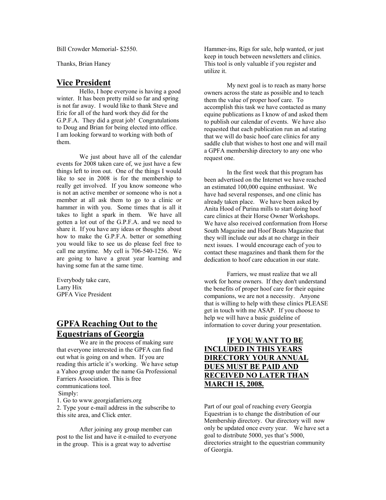Bill Crowder Memorial- \$2550.

Thanks, Brian Haney

#### **Vice President**

 Hello, I hope everyone is having a good winter. It has been pretty mild so far and spring is not far away. I would like to thank Steve and Eric for all of the hard work they did for the G.P.F.A. They did a great job! Congratulations to Doug and Brian for being elected into office. I am looking forward to working with both of them.

 We just about have all of the calendar events for 2008 taken care of, we just have a few things left to iron out. One of the things I would like to see in 2008 is for the membership to really get involved. If you know someone who is not an active member or someone who is not a member at all ask them to go to a clinic or hammer in with you. Some times that is all it takes to light a spark in them. We have all gotten a lot out of the G.P.F.A. and we need to share it. If you have any ideas or thoughts about how to make the G.P.F.A. better or something you would like to see us do please feel free to call me anytime. My cell is 706-540-1256. We are going to have a great year learning and having some fun at the same time.

Everybody take care, Larry Hix GPFA Vice President

# **GPFA Reaching Out to the Equestrians of Georgia**

 We are in the process of making sure that everyone interested in the GPFA can find out what is going on and when. If you are reading this article it's working. We have setup a Yahoo group under the name Ga Professional Farriers Association. This is free communications tool. Simply:

1. Go to www.georgiafarriers.org 2. Type your e-mail address in the subscribe to this site area, and Click enter.

 After joining any group member can post to the list and have it e-mailed to everyone in the group. This is a great way to advertise

Hammer-ins, Rigs for sale, help wanted, or just keep in touch between newsletters and clinics. This tool is only valuable if you register and utilize it.

 My next goal is to reach as many horse owners across the state as possible and to teach them the value of proper hoof care. To accomplish this task we have contacted as many equine publications as I know of and asked them to publish our calendar of events. We have also requested that each publication run an ad stating that we will do basic hoof care clinics for any saddle club that wishes to host one and will mail a GPFA membership directory to any one who request one.

 In the first week that this program has been advertised on the Internet we have reached an estimated 100,000 equine enthusiast. We have had several responses, and one clinic has already taken place. We have been asked by Anita Hood of Purina mills to start doing hoof care clinics at their Horse Owner Workshops. We have also received conformation from Horse South Magazine and Hoof Beats Magazine that they will include our ads at no charge in their next issues. I would encourage each of you to contact these magazines and thank them for the dedication to hoof care education in our state.

 Farriers, we must realize that we all work for horse owners. If they don't understand the benefits of proper hoof care for their equine companions, we are not a necessity. Anyone that is willing to help with these clinics PLEASE get in touch with me ASAP. If you choose to help we will have a basic guideline of information to cover during your presentation.

#### **IF YOU WANT TO BE INCLUDED IN THIS YEARS DIRECTORY YOUR ANNUAL DUES MUST BE PAID AND RECEIVED NO LATER THAN MARCH 15, 2008.**

Part of our goal of reaching every Georgia Equestrian is to change the distribution of our Membership directory. Our directory will now only be updated once every year. We have set a goal to distribute 5000, yes that's 5000, directories straight to the equestrian community of Georgia.